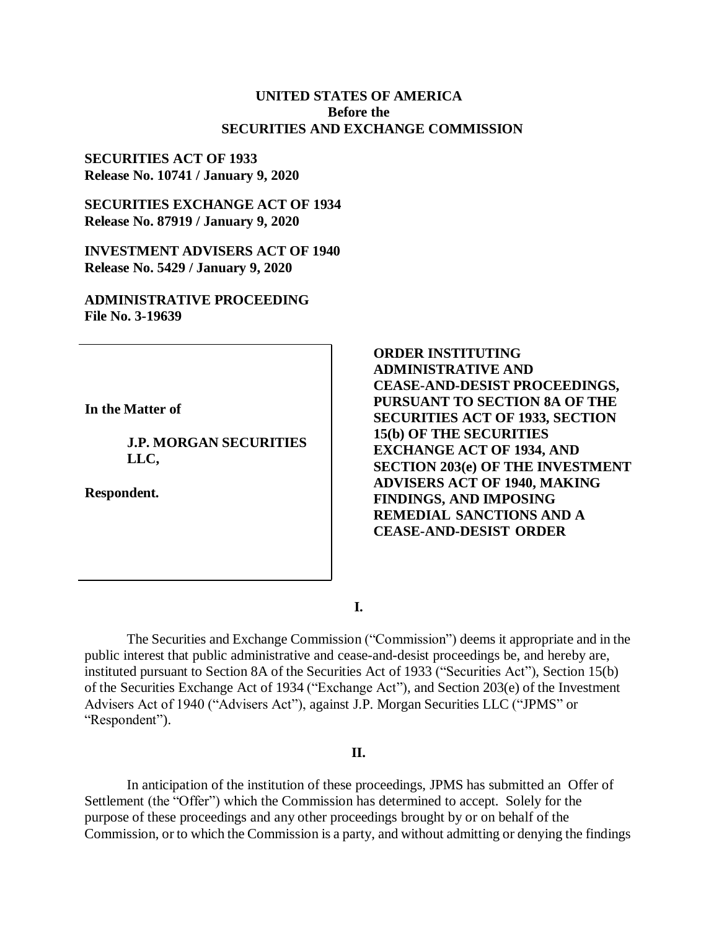## **UNITED STATES OF AMERICA Before the SECURITIES AND EXCHANGE COMMISSION**

**SECURITIES ACT OF 1933 Release No. 10741 / January 9, 2020**

**SECURITIES EXCHANGE ACT OF 1934 Release No. 87919 / January 9, 2020**

**INVESTMENT ADVISERS ACT OF 1940 Release No. 5429 / January 9, 2020**

**ADMINISTRATIVE PROCEEDING File No. 3-19639**

**In the Matter of**

**J.P. MORGAN SECURITIES LLC,**

**Respondent.**

**ORDER INSTITUTING ADMINISTRATIVE AND CEASE-AND-DESIST PROCEEDINGS, PURSUANT TO SECTION 8A OF THE SECURITIES ACT OF 1933, SECTION 15(b) OF THE SECURITIES EXCHANGE ACT OF 1934, AND SECTION 203(e) OF THE INVESTMENT ADVISERS ACT OF 1940, MAKING FINDINGS, AND IMPOSING REMEDIAL SANCTIONS AND A CEASE-AND-DESIST ORDER**

**I.**

The Securities and Exchange Commission ("Commission") deems it appropriate and in the public interest that public administrative and cease-and-desist proceedings be, and hereby are, instituted pursuant to Section 8A of the Securities Act of 1933 ("Securities Act"), Section 15(b) of the Securities Exchange Act of 1934 ("Exchange Act"), and Section 203(e) of the Investment Advisers Act of 1940 ("Advisers Act"), against J.P. Morgan Securities LLC ("JPMS" or "Respondent").

### **II.**

In anticipation of the institution of these proceedings, JPMS has submitted an Offer of Settlement (the "Offer") which the Commission has determined to accept. Solely for the purpose of these proceedings and any other proceedings brought by or on behalf of the Commission, or to which the Commission is a party, and without admitting or denying the findings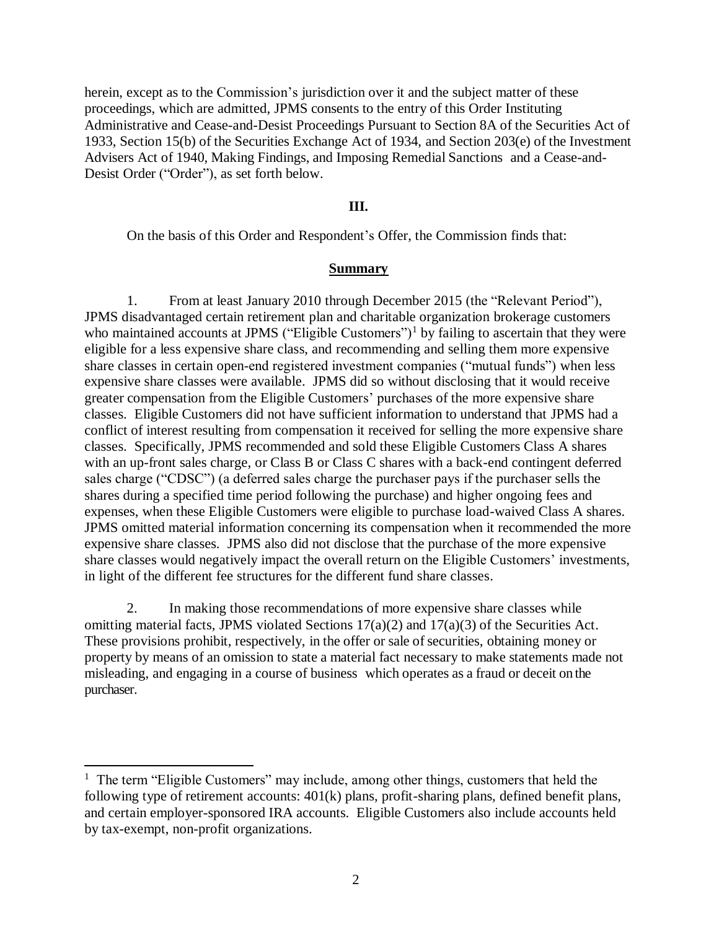herein, except as to the Commission's jurisdiction over it and the subject matter of these proceedings, which are admitted, JPMS consents to the entry of this Order Instituting Administrative and Cease-and-Desist Proceedings Pursuant to Section 8A of the Securities Act of 1933, Section 15(b) of the Securities Exchange Act of 1934, and Section 203(e) of the Investment Advisers Act of 1940, Making Findings, and Imposing Remedial Sanctions and a Cease-and-Desist Order ("Order"), as set forth below.

#### **III.**

On the basis of this Order and Respondent's Offer, the Commission finds that:

#### **Summary**

1. From at least January 2010 through December 2015 (the "Relevant Period"), JPMS disadvantaged certain retirement plan and charitable organization brokerage customers who maintained accounts at JPMS ("Eligible Customers")<sup>1</sup> by failing to ascertain that they were eligible for a less expensive share class, and recommending and selling them more expensive share classes in certain open-end registered investment companies ("mutual funds") when less expensive share classes were available. JPMS did so without disclosing that it would receive greater compensation from the Eligible Customers' purchases of the more expensive share classes. Eligible Customers did not have sufficient information to understand that JPMS had a conflict of interest resulting from compensation it received for selling the more expensive share classes. Specifically, JPMS recommended and sold these Eligible Customers Class A shares with an up-front sales charge, or Class B or Class C shares with a back-end contingent deferred sales charge ("CDSC") (a deferred sales charge the purchaser pays if the purchaser sells the shares during a specified time period following the purchase) and higher ongoing fees and expenses, when these Eligible Customers were eligible to purchase load-waived Class A shares. JPMS omitted material information concerning its compensation when it recommended the more expensive share classes. JPMS also did not disclose that the purchase of the more expensive share classes would negatively impact the overall return on the Eligible Customers' investments, in light of the different fee structures for the different fund share classes.

2. In making those recommendations of more expensive share classes while omitting material facts, JPMS violated Sections  $17(a)(2)$  and  $17(a)(3)$  of the Securities Act. These provisions prohibit, respectively, in the offer or sale of securities, obtaining money or property by means of an omission to state a material fact necessary to make statements made not misleading, and engaging in a course of business which operates as a fraud or deceit on the purchaser.

 $\overline{a}$ 

<sup>&</sup>lt;sup>1</sup> The term "Eligible Customers" may include, among other things, customers that held the following type of retirement accounts: 401(k) plans, profit-sharing plans, defined benefit plans, and certain employer-sponsored IRA accounts. Eligible Customers also include accounts held by tax-exempt, non-profit organizations.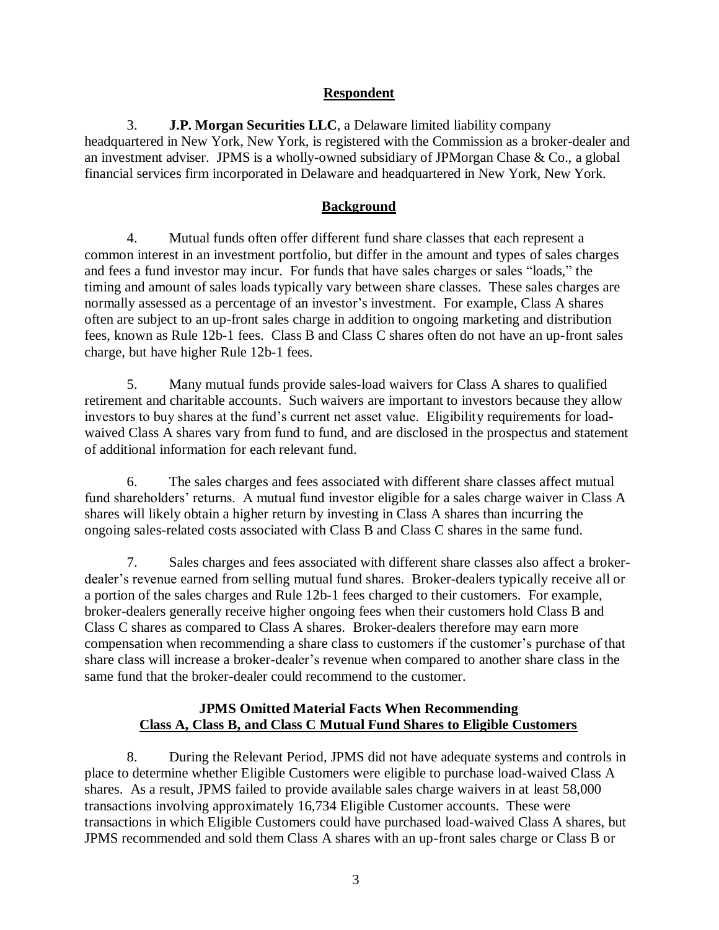# **Respondent**

3. **J.P. Morgan Securities LLC**, a Delaware limited liability company headquartered in New York, New York, is registered with the Commission as a broker-dealer and an investment adviser. JPMS is a wholly-owned subsidiary of JPMorgan Chase & Co., a global financial services firm incorporated in Delaware and headquartered in New York, New York.

# **Background**

4. Mutual funds often offer different fund share classes that each represent a common interest in an investment portfolio, but differ in the amount and types of sales charges and fees a fund investor may incur. For funds that have sales charges or sales "loads," the timing and amount of sales loads typically vary between share classes. These sales charges are normally assessed as a percentage of an investor's investment. For example, Class A shares often are subject to an up-front sales charge in addition to ongoing marketing and distribution fees, known as Rule 12b-1 fees. Class B and Class C shares often do not have an up-front sales charge, but have higher Rule 12b-1 fees.

5. Many mutual funds provide sales-load waivers for Class A shares to qualified retirement and charitable accounts. Such waivers are important to investors because they allow investors to buy shares at the fund's current net asset value. Eligibility requirements for loadwaived Class A shares vary from fund to fund, and are disclosed in the prospectus and statement of additional information for each relevant fund.

6. The sales charges and fees associated with different share classes affect mutual fund shareholders' returns. A mutual fund investor eligible for a sales charge waiver in Class A shares will likely obtain a higher return by investing in Class A shares than incurring the ongoing sales-related costs associated with Class B and Class C shares in the same fund.

7. Sales charges and fees associated with different share classes also affect a brokerdealer's revenue earned from selling mutual fund shares. Broker-dealers typically receive all or a portion of the sales charges and Rule 12b-1 fees charged to their customers. For example, broker-dealers generally receive higher ongoing fees when their customers hold Class B and Class C shares as compared to Class A shares. Broker-dealers therefore may earn more compensation when recommending a share class to customers if the customer's purchase of that share class will increase a broker-dealer's revenue when compared to another share class in the same fund that the broker-dealer could recommend to the customer.

# **JPMS Omitted Material Facts When Recommending Class A, Class B, and Class C Mutual Fund Shares to Eligible Customers**

8. During the Relevant Period, JPMS did not have adequate systems and controls in place to determine whether Eligible Customers were eligible to purchase load-waived Class A shares. As a result, JPMS failed to provide available sales charge waivers in at least 58,000 transactions involving approximately 16,734 Eligible Customer accounts. These were transactions in which Eligible Customers could have purchased load-waived Class A shares, but JPMS recommended and sold them Class A shares with an up-front sales charge or Class B or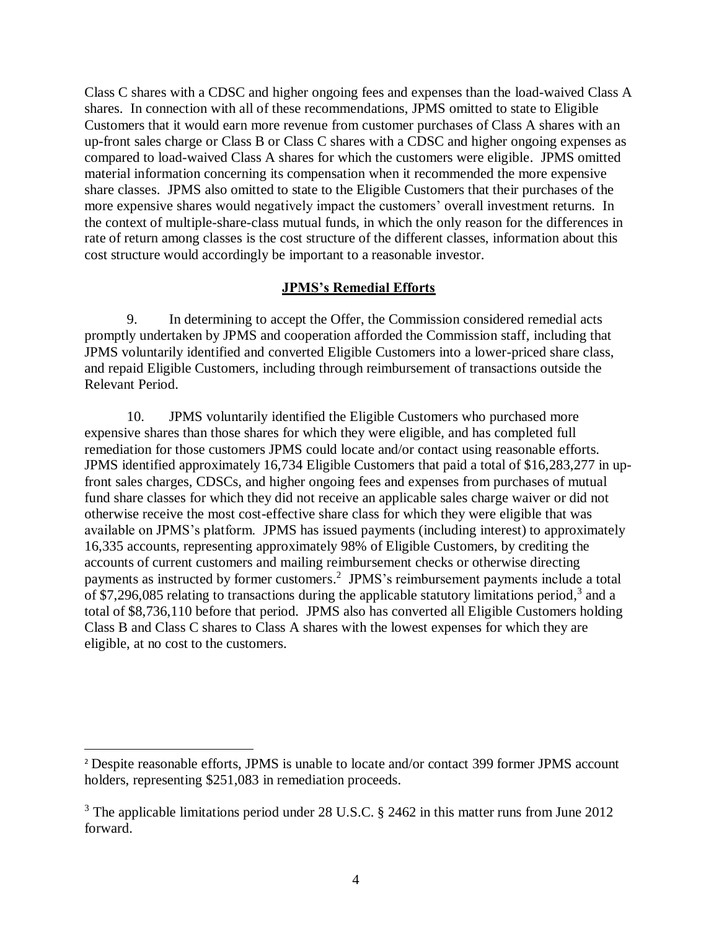Class C shares with a CDSC and higher ongoing fees and expenses than the load-waived Class A shares. In connection with all of these recommendations, JPMS omitted to state to Eligible Customers that it would earn more revenue from customer purchases of Class A shares with an up-front sales charge or Class B or Class C shares with a CDSC and higher ongoing expenses as compared to load-waived Class A shares for which the customers were eligible. JPMS omitted material information concerning its compensation when it recommended the more expensive share classes. JPMS also omitted to state to the Eligible Customers that their purchases of the more expensive shares would negatively impact the customers' overall investment returns. In the context of multiple-share-class mutual funds, in which the only reason for the differences in rate of return among classes is the cost structure of the different classes, information about this cost structure would accordingly be important to a reasonable investor.

## **JPMS's Remedial Efforts**

9. In determining to accept the Offer, the Commission considered remedial acts promptly undertaken by JPMS and cooperation afforded the Commission staff, including that JPMS voluntarily identified and converted Eligible Customers into a lower-priced share class, and repaid Eligible Customers, including through reimbursement of transactions outside the Relevant Period.

10. JPMS voluntarily identified the Eligible Customers who purchased more expensive shares than those shares for which they were eligible, and has completed full remediation for those customers JPMS could locate and/or contact using reasonable efforts. JPMS identified approximately 16,734 Eligible Customers that paid a total of \$16,283,277 in upfront sales charges, CDSCs, and higher ongoing fees and expenses from purchases of mutual fund share classes for which they did not receive an applicable sales charge waiver or did not otherwise receive the most cost-effective share class for which they were eligible that was available on JPMS's platform. JPMS has issued payments (including interest) to approximately 16,335 accounts, representing approximately 98% of Eligible Customers, by crediting the accounts of current customers and mailing reimbursement checks or otherwise directing payments as instructed by former customers. 2 JPMS's reimbursement payments include a total of \$7,296,085 relating to transactions during the applicable statutory limitations period,<sup>3</sup> and a total of \$8,736,110 before that period. JPMS also has converted all Eligible Customers holding Class B and Class C shares to Class A shares with the lowest expenses for which they are eligible, at no cost to the customers.

 $\overline{a}$ 

<sup>2</sup> Despite reasonable efforts, JPMS is unable to locate and/or contact 399 former JPMS account holders, representing \$251,083 in remediation proceeds.

<sup>&</sup>lt;sup>3</sup> The applicable limitations period under 28 U.S.C. § 2462 in this matter runs from June 2012 forward.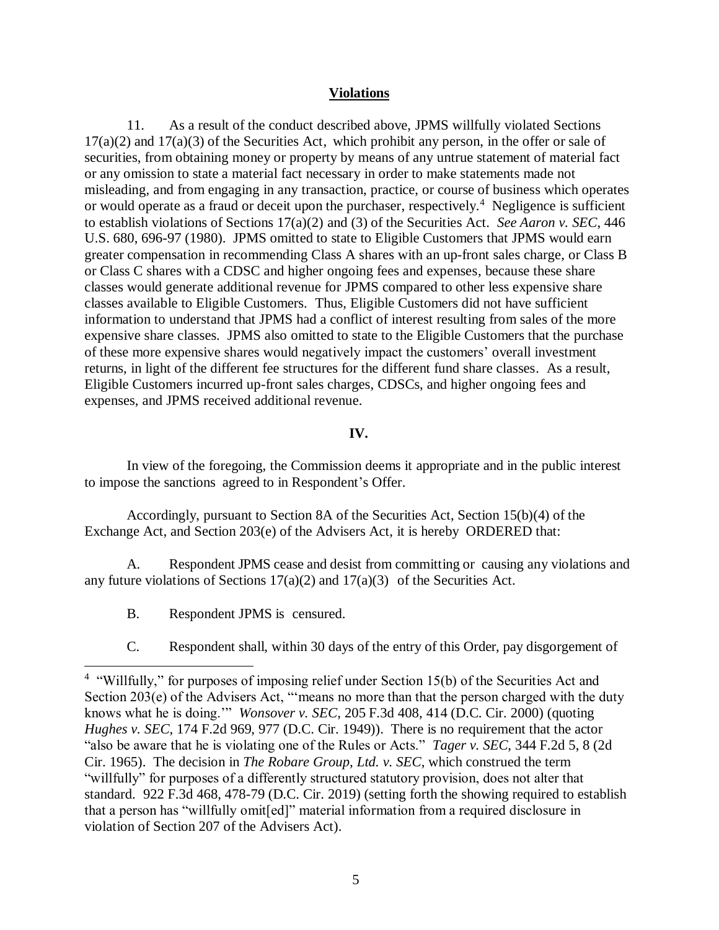#### **Violations**

11. As a result of the conduct described above, JPMS willfully violated Sections  $17(a)(2)$  and  $17(a)(3)$  of the Securities Act, which prohibit any person, in the offer or sale of securities, from obtaining money or property by means of any untrue statement of material fact or any omission to state a material fact necessary in order to make statements made not misleading, and from engaging in any transaction, practice, or course of business which operates or would operate as a fraud or deceit upon the purchaser, respectively.<sup>4</sup> Negligence is sufficient to establish violations of Sections 17(a)(2) and (3) of the Securities Act. *See Aaron v. SEC*, 446 U.S. 680, 696-97 (1980). JPMS omitted to state to Eligible Customers that JPMS would earn greater compensation in recommending Class A shares with an up-front sales charge, or Class B or Class C shares with a CDSC and higher ongoing fees and expenses, because these share classes would generate additional revenue for JPMS compared to other less expensive share classes available to Eligible Customers. Thus, Eligible Customers did not have sufficient information to understand that JPMS had a conflict of interest resulting from sales of the more expensive share classes. JPMS also omitted to state to the Eligible Customers that the purchase of these more expensive shares would negatively impact the customers' overall investment returns, in light of the different fee structures for the different fund share classes. As a result, Eligible Customers incurred up-front sales charges, CDSCs, and higher ongoing fees and expenses, and JPMS received additional revenue.

## **IV.**

In view of the foregoing, the Commission deems it appropriate and in the public interest to impose the sanctions agreed to in Respondent's Offer.

Accordingly, pursuant to Section 8A of the Securities Act, Section 15(b)(4) of the Exchange Act, and Section 203(e) of the Advisers Act, it is hereby ORDERED that:

A. Respondent JPMS cease and desist from committing or causing any violations and any future violations of Sections  $17(a)(2)$  and  $17(a)(3)$  of the Securities Act.

B. Respondent JPMS is censured.

 $\overline{a}$ 

C. Respondent shall, within 30 days of the entry of this Order, pay disgorgement of

<sup>&</sup>lt;sup>4</sup> "Willfully," for purposes of imposing relief under Section 15(b) of the Securities Act and Section 203(e) of the Advisers Act, "means no more than that the person charged with the duty knows what he is doing.'" *Wonsover v. SEC*, 205 F.3d 408, 414 (D.C. Cir. 2000) (quoting *Hughes v. SEC*, 174 F.2d 969, 977 (D.C. Cir. 1949)). There is no requirement that the actor "also be aware that he is violating one of the Rules or Acts." *Tager v. SEC*, 344 F.2d 5, 8 (2d Cir. 1965). The decision in *The Robare Group, Ltd. v. SEC*, which construed the term "willfully" for purposes of a differently structured statutory provision, does not alter that standard. 922 F.3d 468, 478-79 (D.C. Cir. 2019) (setting forth the showing required to establish that a person has "willfully omit[ed]" material information from a required disclosure in violation of Section 207 of the Advisers Act).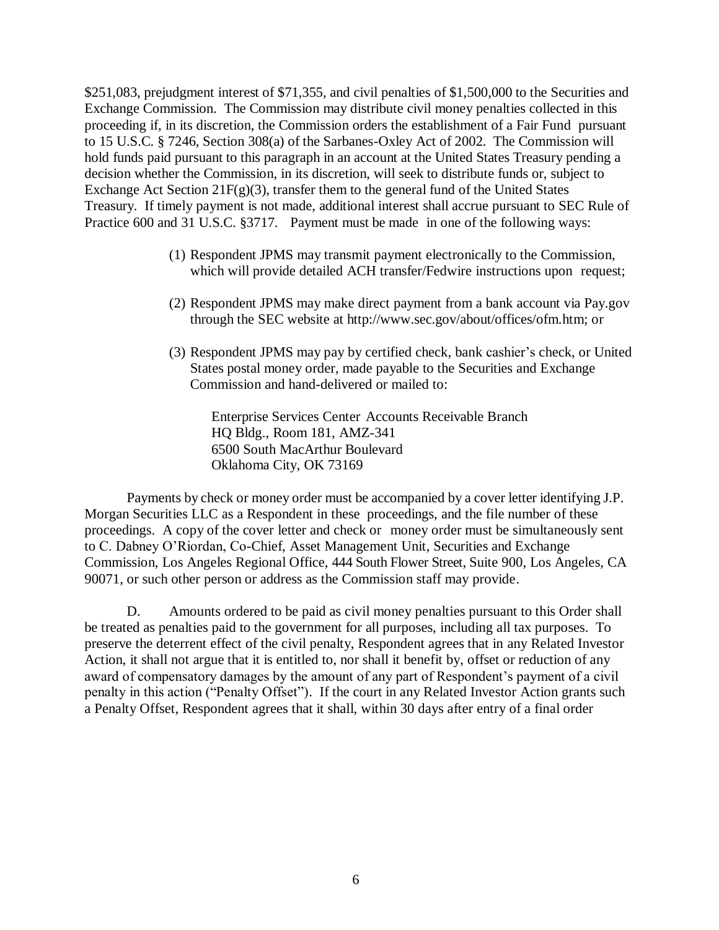\$251,083, prejudgment interest of \$71,355, and civil penalties of \$1,500,000 to the Securities and Exchange Commission. The Commission may distribute civil money penalties collected in this proceeding if, in its discretion, the Commission orders the establishment of a Fair Fund pursuant to 15 U.S.C. § 7246, Section 308(a) of the Sarbanes-Oxley Act of 2002. The Commission will hold funds paid pursuant to this paragraph in an account at the United States Treasury pending a decision whether the Commission, in its discretion, will seek to distribute funds or, subject to Exchange Act Section  $21F(g)(3)$ , transfer them to the general fund of the United States Treasury. If timely payment is not made, additional interest shall accrue pursuant to SEC Rule of Practice 600 and 31 U.S.C. §3717. Payment must be made in one of the following ways:

- (1) Respondent JPMS may transmit payment electronically to the Commission, which will provide detailed ACH transfer/Fedwire instructions upon request;
- (2) Respondent JPMS may make direct payment from a bank account via Pay.gov through the SEC website at [http://www.sec.gov/about/offices/ofm.htm;](http://www.sec.gov/about/offices/ofm.htm%3B) or
- (3) Respondent JPMS may pay by certified check, bank cashier's check, or United States postal money order, made payable to the Securities and Exchange Commission and hand-delivered or mailed to:

Enterprise Services Center Accounts Receivable Branch HQ Bldg., Room 181, AMZ-341 6500 South MacArthur Boulevard Oklahoma City, OK 73169

Payments by check or money order must be accompanied by a cover letter identifying J.P. Morgan Securities LLC as a Respondent in these proceedings, and the file number of these proceedings. A copy of the cover letter and check or money order must be simultaneously sent to C. Dabney O'Riordan, Co-Chief, Asset Management Unit, Securities and Exchange Commission, Los Angeles Regional Office, 444 South Flower Street, Suite 900, Los Angeles, CA 90071, or such other person or address as the Commission staff may provide.

D. Amounts ordered to be paid as civil money penalties pursuant to this Order shall be treated as penalties paid to the government for all purposes, including all tax purposes. To preserve the deterrent effect of the civil penalty, Respondent agrees that in any Related Investor Action, it shall not argue that it is entitled to, nor shall it benefit by, offset or reduction of any award of compensatory damages by the amount of any part of Respondent's payment of a civil penalty in this action ("Penalty Offset"). If the court in any Related Investor Action grants such a Penalty Offset, Respondent agrees that it shall, within 30 days after entry of a final order